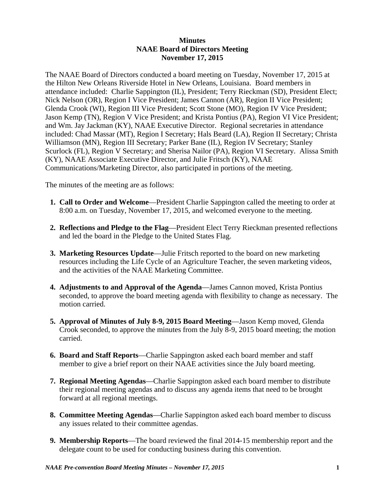## **Minutes NAAE Board of Directors Meeting November 17, 2015**

The NAAE Board of Directors conducted a board meeting on Tuesday, November 17, 2015 at the Hilton New Orleans Riverside Hotel in New Orleans, Louisiana. Board members in attendance included: Charlie Sappington (IL), President; Terry Rieckman (SD), President Elect; Nick Nelson (OR), Region I Vice President; James Cannon (AR), Region II Vice President; Glenda Crook (WI), Region III Vice President; Scott Stone (MO), Region IV Vice President; Jason Kemp (TN), Region V Vice President; and Krista Pontius (PA), Region VI Vice President; and Wm. Jay Jackman (KY), NAAE Executive Director. Regional secretaries in attendance included: Chad Massar (MT), Region I Secretary; Hals Beard (LA), Region II Secretary; Christa Williamson (MN), Region III Secretary; Parker Bane (IL), Region IV Secretary; Stanley Scurlock (FL), Region V Secretary; and Sherisa Nailor (PA), Region VI Secretary. Alissa Smith (KY), NAAE Associate Executive Director, and Julie Fritsch (KY), NAAE Communications/Marketing Director, also participated in portions of the meeting.

The minutes of the meeting are as follows:

- **1. Call to Order and Welcome**—President Charlie Sappington called the meeting to order at 8:00 a.m. on Tuesday, November 17, 2015, and welcomed everyone to the meeting.
- **2. Reflections and Pledge to the Flag**—President Elect Terry Rieckman presented reflections and led the board in the Pledge to the United States Flag.
- **3. Marketing Resources Update**—Julie Fritsch reported to the board on new marketing resources including the Life Cycle of an Agriculture Teacher, the seven marketing videos, and the activities of the NAAE Marketing Committee.
- **4. Adjustments to and Approval of the Agenda**—James Cannon moved, Krista Pontius seconded, to approve the board meeting agenda with flexibility to change as necessary. The motion carried.
- **5. Approval of Minutes of July 8-9, 2015 Board Meeting**—Jason Kemp moved, Glenda Crook seconded, to approve the minutes from the July 8-9, 2015 board meeting; the motion carried.
- **6. Board and Staff Reports**—Charlie Sappington asked each board member and staff member to give a brief report on their NAAE activities since the July board meeting.
- **7. Regional Meeting Agendas**—Charlie Sappington asked each board member to distribute their regional meeting agendas and to discuss any agenda items that need to be brought forward at all regional meetings.
- **8. Committee Meeting Agendas**—Charlie Sappington asked each board member to discuss any issues related to their committee agendas.
- **9. Membership Reports**—The board reviewed the final 2014-15 membership report and the delegate count to be used for conducting business during this convention.